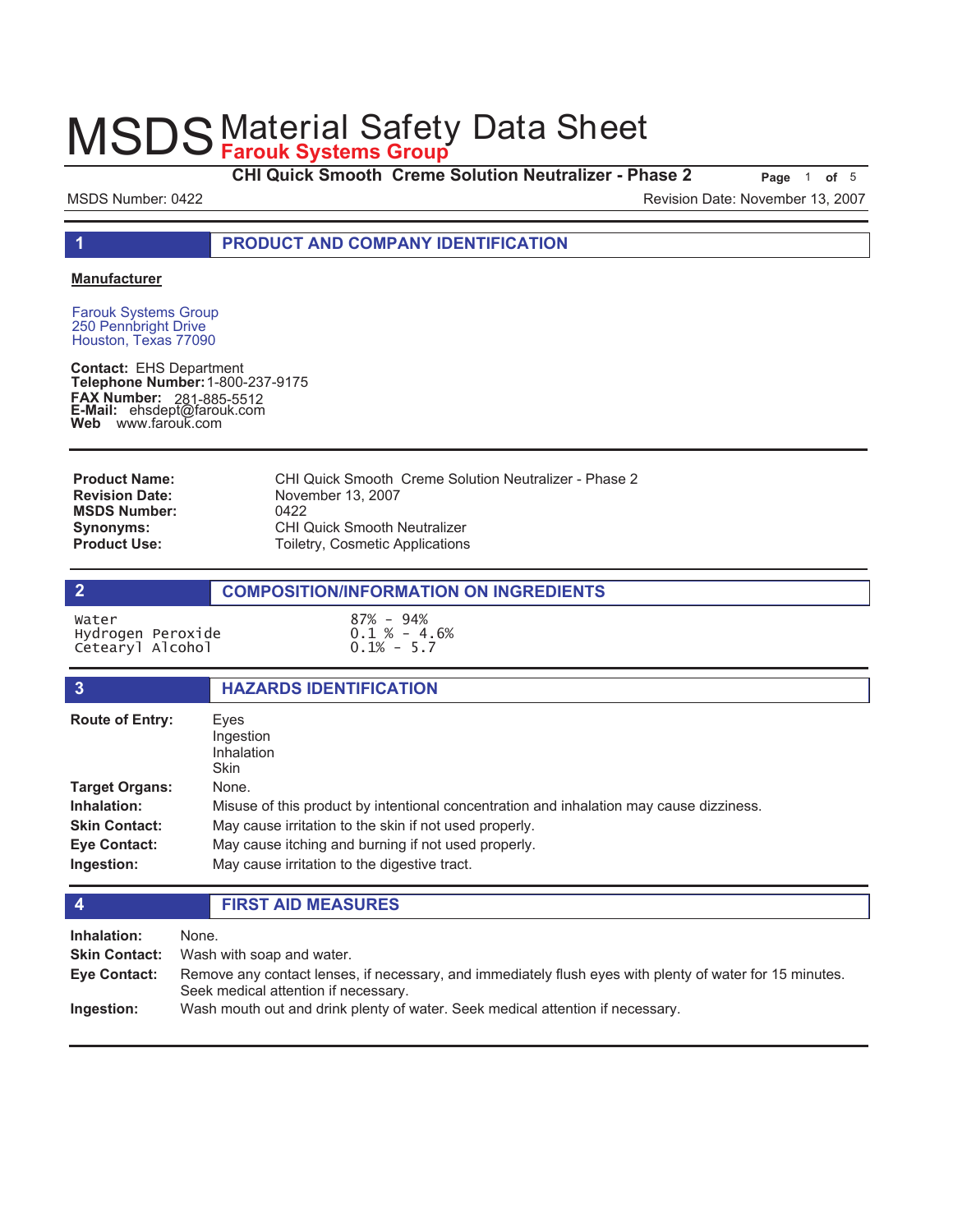**CHI Quick Smooth Creme Solution Neutralizer - Phase 2** Page 1 of 5

MSDS Number: 0422 Revision Date: November 13, 2007

**1 PRODUCT AND COMPANY IDENTIFICATION**

#### **Manufacturer**

Farouk Systems Group 250 Pennbright Drive Houston, Texas 77090

**Contact:** EHS Department **Telephone Number:** 1-800-237-9175 **FAX Number: FAX Number:** 281-885-5512<br>**E-Mail:** ehsdept@farouk.com **Web** www.farouk.com

| <b>Product Name:</b>  | CHI Quick Smooth Creme Solution Neutralizer - Phase 2 |
|-----------------------|-------------------------------------------------------|
| <b>Revision Date:</b> | November 13, 2007                                     |
| <b>MSDS Number:</b>   | 0422                                                  |
| <b>Synonyms:</b>      | <b>CHI Quick Smooth Neutralizer</b>                   |
| <b>Product Use:</b>   | Toiletry, Cosmetic Applications                       |

|                                                | <b>COMPOSITION/INFORMATION ON INGREDIENTS</b>     |  |
|------------------------------------------------|---------------------------------------------------|--|
| Water<br>Hydrogen Peroxide<br>Cetearyl Alcohol | $87\% - 94\%$<br>$0.1 \% - 4.6%$<br>$0.1\% - 5.7$ |  |

| 3                                                                                   | <b>HAZARDS IDENTIFICATION</b>                                                                                                                                                                                                                                     |
|-------------------------------------------------------------------------------------|-------------------------------------------------------------------------------------------------------------------------------------------------------------------------------------------------------------------------------------------------------------------|
| <b>Route of Entry:</b>                                                              | Eves<br>Ingestion<br><b>Inhalation</b><br>Skin                                                                                                                                                                                                                    |
| Target Organs:<br>Inhalation:<br><b>Skin Contact:</b><br>Eye Contact:<br>Ingestion: | None.<br>Misuse of this product by intentional concentration and inhalation may cause dizziness.<br>May cause irritation to the skin if not used properly.<br>May cause itching and burning if not used properly.<br>May cause irritation to the digestive tract. |

### **4 FIRST AID MEASURES**

**Inhalation:** None. **Skin Contact:** Wash with soap and water. Remove any contact lenses, if necessary, and immediately flush eyes with plenty of water for 15 minutes. Seek medical attention if necessary. **Eye Contact: Ingestion:** Wash mouth out and drink plenty of water. Seek medical attention if necessary.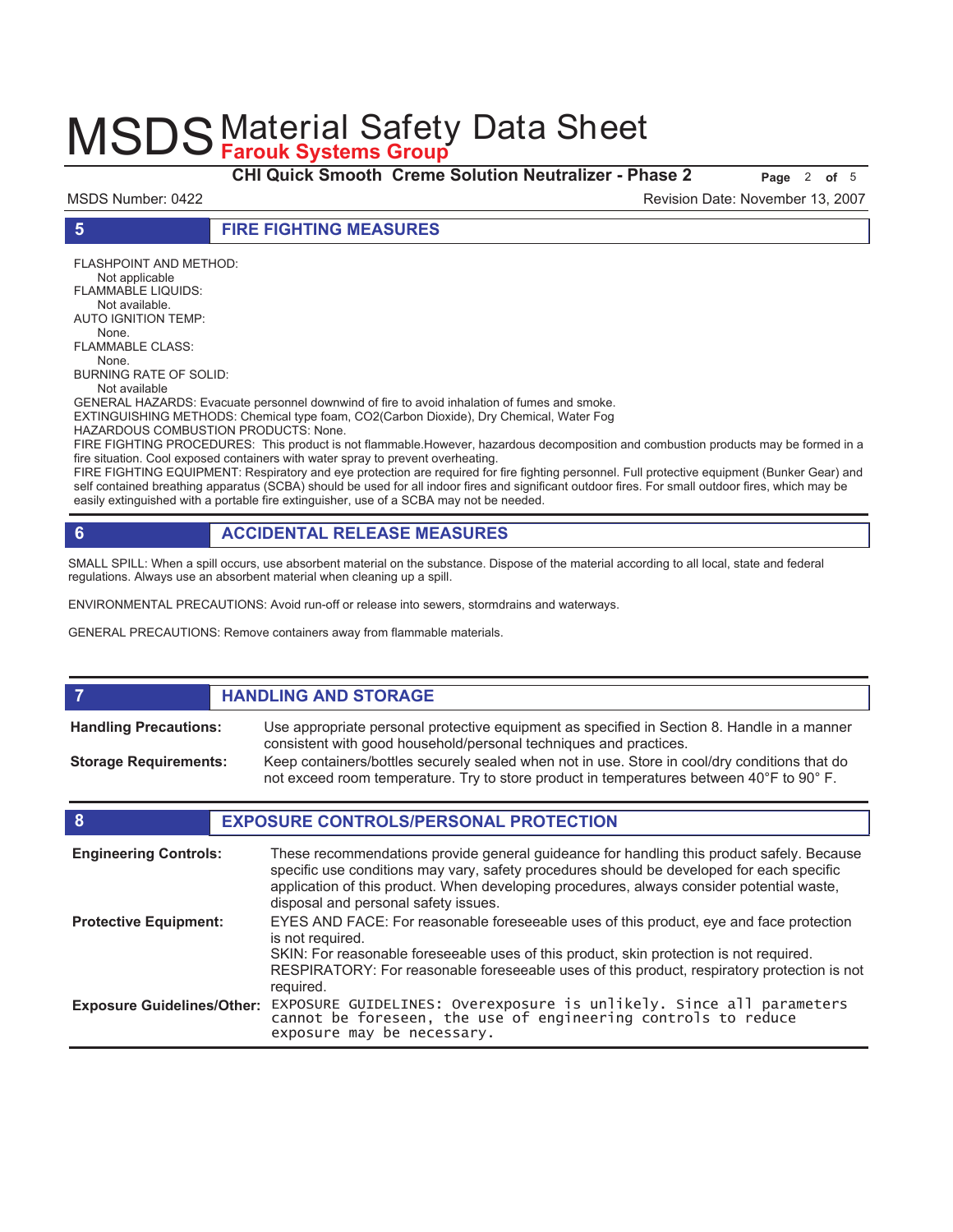**CHI Quick Smooth Creme Solution Neutralizer - Phase 2 Page 2 of 5** 

MSDS Number: 0422 Revision Date: November 13, 2007

**5 FIRE FIGHTING MEASURES**

FLASHPOINT AND METHOD: Not applicable FLAMMABLE LIQUIDS: Not available. AUTO IGNITION TEMP: None. FLAMMABLE CLASS: None. BURNING RATE OF SOLID:

Not available

GENERAL HAZARDS: Evacuate personnel downwind of fire to avoid inhalation of fumes and smoke. EXTINGUISHING METHODS: Chemical type foam, CO2(Carbon Dioxide), Dry Chemical, Water Fog HAZARDOUS COMBUSTION PRODUCTS: None.

FIRE FIGHTING PROCEDURES: This product is not flammable.However, hazardous decomposition and combustion products may be formed in a fire situation. Cool exposed containers with water spray to prevent overheating.

FIRE FIGHTING EQUIPMENT: Respiratory and eye protection are required for fire fighting personnel. Full protective equipment (Bunker Gear) and self contained breathing apparatus (SCBA) should be used for all indoor fires and significant outdoor fires. For small outdoor fires, which may be easily extinguished with a portable fire extinguisher, use of a SCBA may not be needed.

# **6 ACCIDENTAL RELEASE MEASURES**

SMALL SPILL: When a spill occurs, use absorbent material on the substance. Dispose of the material according to all local, state and federal regulations. Always use an absorbent material when cleaning up a spill.

ENVIRONMENTAL PRECAUTIONS: Avoid run-off or release into sewers, stormdrains and waterways.

GENERAL PRECAUTIONS: Remove containers away from flammable materials.

### **7 HANDLING AND STORAGE**

Use appropriate personal protective equipment as specified in Section 8. Handle in a manner consistent with good household/personal techniques and practices. **Handling Precautions:** Keep containers/bottles securely sealed when not in use. Store in cool/dry conditions that do not exceed room temperature. Try to store product in temperatures between 40°F to 90° F. **Storage Requirements:**

### **8 EXPOSURE CONTROLS/PERSONAL PROTECTION**

| <b>Engineering Controls:</b>      | These recommendations provide general guideance for handling this product safely. Because<br>specific use conditions may vary, safety procedures should be developed for each specific<br>application of this product. When developing procedures, always consider potential waste,<br>disposal and personal safety issues. |
|-----------------------------------|-----------------------------------------------------------------------------------------------------------------------------------------------------------------------------------------------------------------------------------------------------------------------------------------------------------------------------|
| <b>Protective Equipment:</b>      | EYES AND FACE: For reasonable foreseeable uses of this product, eye and face protection<br>is not required.<br>SKIN: For reasonable foreseeable uses of this product, skin protection is not required.<br>RESPIRATORY: For reasonable foreseeable uses of this product, respiratory protection is not<br>required.          |
| <b>Exposure Guidelines/Other:</b> | EXPOSURE GUIDELINES: Overexposure is unlikely. Since all parameters<br>cannot be foreseen, the use of engineering controls to reduce<br>exposure may be necessary.                                                                                                                                                          |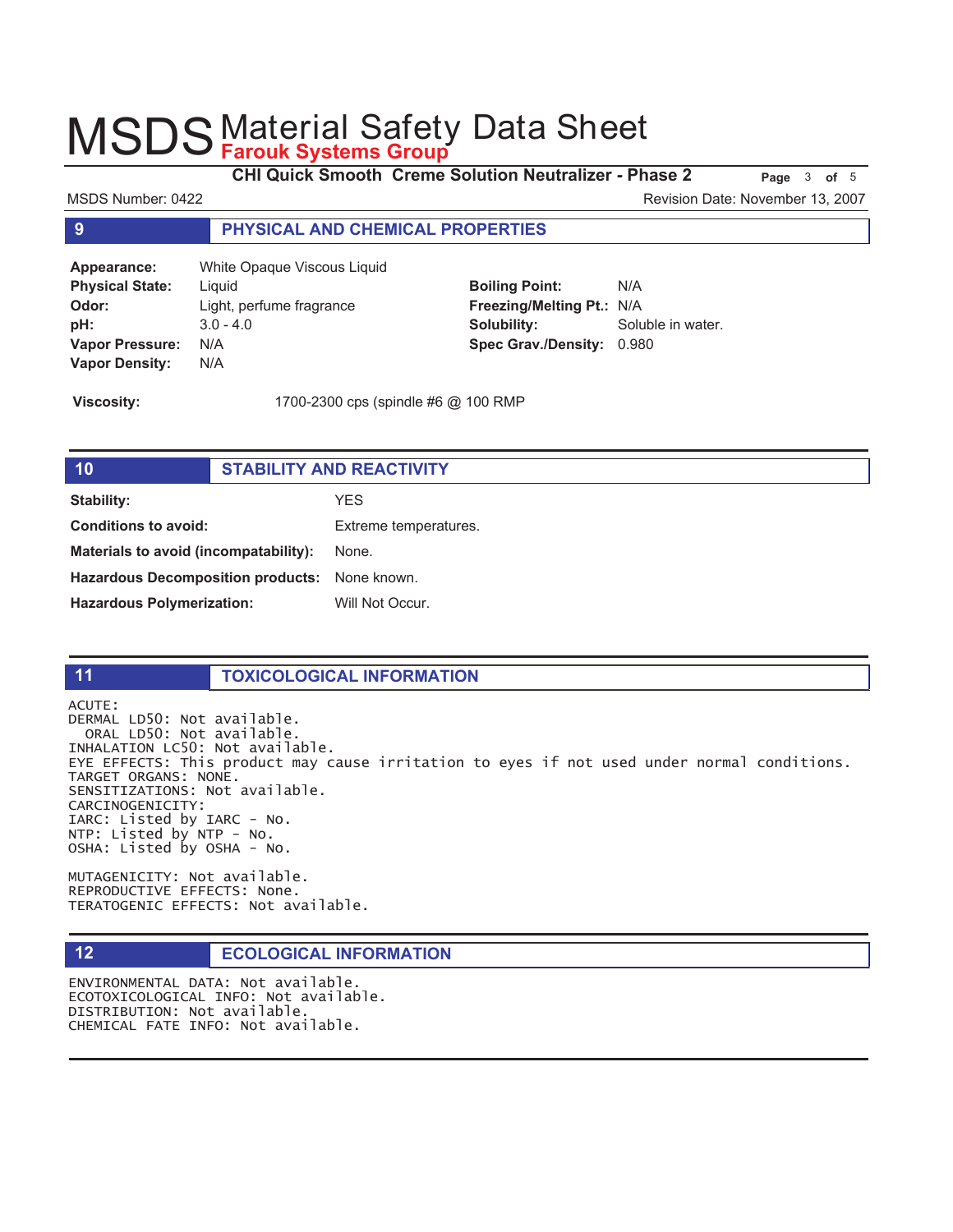**CHI Quick Smooth Creme Solution Neutralizer - Phase 2 Page 3 of 5** 

MSDS Number: 0422 Revision Date: November 13, 2007

### **9 PHYSICAL AND CHEMICAL PROPERTIES**

**Appearance:** White Opaque Viscous Liquid **Physical State:** Liquid **Odor:** Light, perfume fragrance **pH:** 3.0 - 4.0 **Vapor Pressure:** N/A **Vapor Density:** N/A

**Boiling Point:** N/A **Freezing/Melting Pt.:** N/A **Solubility:** Soluble in water. **Spec Grav./Density:** 0.980

**Viscosity:** 1700-2300 cps (spindle #6 @ 100 RMP

| 10                                            | <b>STABILITY AND REACTIVITY</b> |                       |
|-----------------------------------------------|---------------------------------|-----------------------|
| Stability:                                    |                                 | YES.                  |
| Conditions to avoid:                          |                                 | Extreme temperatures. |
| Materials to avoid (incompatability):         |                                 | None.                 |
| Hazardous Decomposition products: None known. |                                 |                       |
| <b>Hazardous Polymerization:</b>              |                                 | Will Not Occur.       |
|                                               |                                 |                       |

|  | e. |  |
|--|----|--|
|  |    |  |
|  |    |  |
|  |    |  |
|  |    |  |

### **11 TOXICOLOGICAL INFORMATION**

ACUTE: DERMAL LD50: Not available. ORAL LD50: Not available. INHALATION LC50: Not available. EYE EFFECTS: This product may cause irritation to eyes if not used under normal conditions. TARGET ORGANS: NONE. SENSITIZATIONS: Not available. CARCINOGENICITY: IARC: Listed by IARC - No. NTP: Listed by NTP - No. OSHA: Listed by OSHA - No.

MUTAGENICITY: Not available. REPRODUCTIVE EFFECTS: None. TERATOGENIC EFFECTS: Not available.

### **12 ECOLOGICAL INFORMATION**

ENVIRONMENTAL DATA: Not available. ECOTOXICOLOGICAL INFO: Not available. DISTRIBUTION: Not available. CHEMICAL FATE INFO: Not available.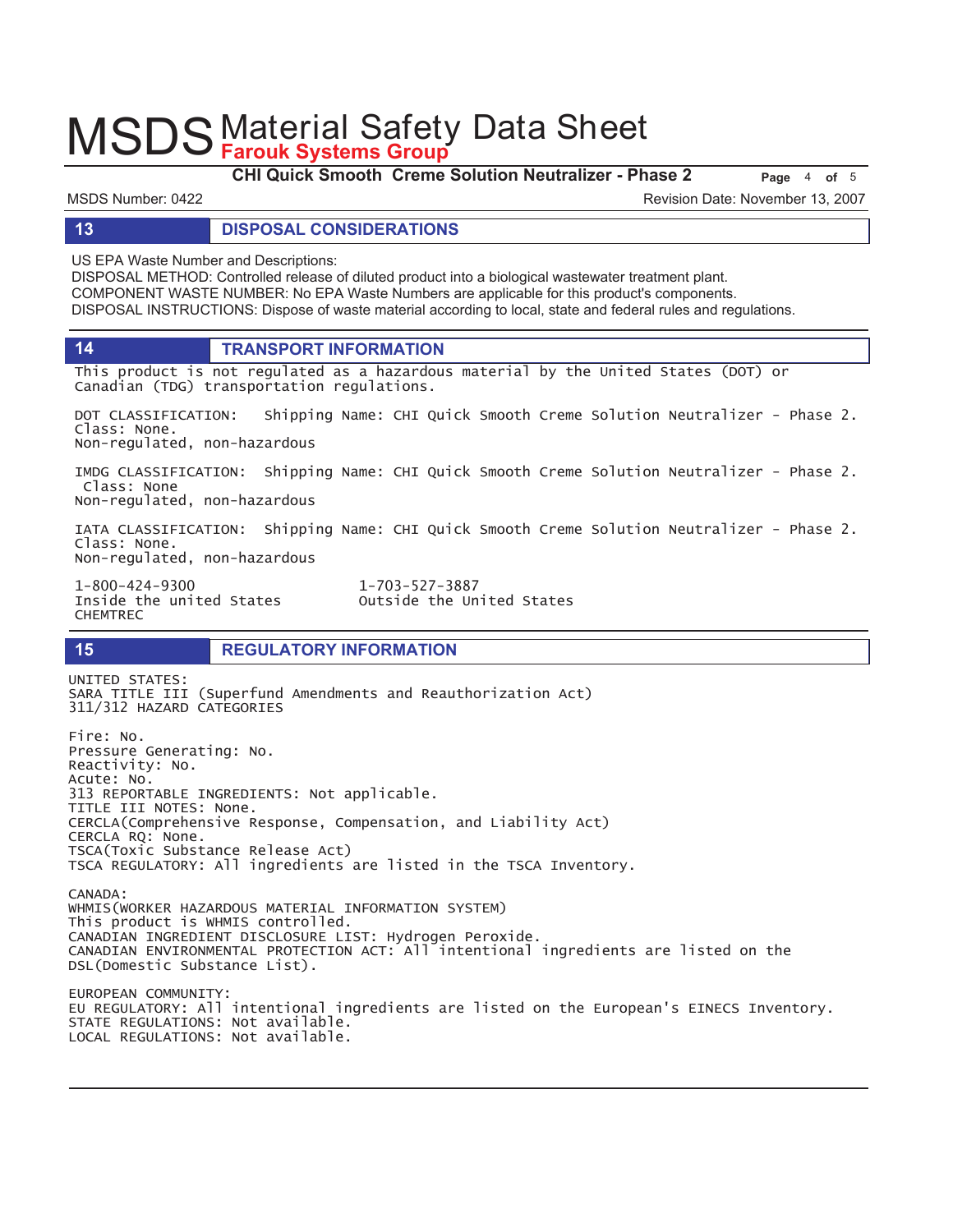**CHI Quick Smooth Creme Solution Neutralizer - Phase 2 Page** 4 of 5

MSDS Number: 0422 Revision Date: November 13, 2007

#### **13 DISPOSAL CONSIDERATIONS**

US EPA Waste Number and Descriptions:

DISPOSAL METHOD: Controlled release of diluted product into a biological wastewater treatment plant. COMPONENT WASTE NUMBER: No EPA Waste Numbers are applicable for this product's components. DISPOSAL INSTRUCTIONS: Dispose of waste material according to local, state and federal rules and regulations.

**14 TRANSPORT INFORMATION**

This product is not regulated as a hazardous material by the United States (DOT) or Canadian (TDG) transportation regulations.

DOT CLASSIFICATION: Shipping Name: CHI Quick Smooth Creme Solution Neutralizer - Phase 2. Class: None. Non-regulated, non-hazardous

IMDG CLASSIFICATION: Shipping Name: CHI Quick Smooth Creme Solution Neutralizer - Phase 2. Class: None Non-regulated, non-hazardous

IATA CLASSIFICATION: Shipping Name: CHI Quick Smooth Creme Solution Neutralizer - Phase 2. Class: None. Non-regulated, non-hazardous

1-800-424-9300 **CHEMTREC** 

 $1 - 703 - 527 - 3887$ Inside the united States **budies** Outside the United States

### **15 REGULATORY INFORMATION**

UNITED STATES: SARA TITLE III (Superfund Amendments and Reauthorization Act) 311/312 HAZARD CATEGORIES Fire: No. Pressure Generating: No. Reactivity: No. Acute: No. 313 REPORTABLE INGREDIENTS: Not applicable. TITLE III NOTES: None. CERCLA(Comprehensive Response, Compensation, and Liability Act) CERCLA RQ: None. TSCA(Toxic Substance Release Act) TSCA REGULATORY: All ingredients are listed in the TSCA Inventory. CANADA: WHMIS (WORKER HAZARDOUS MATERIAL INFORMATION SYSTEM) This product is WHMIS controlled. CANADIAN INGREDIENT DISCLOSURE LIST: Hydrogen Peroxide. CANADIAN ENVIRONMENTAL PROTECTION ACT: All intentional ingredients are listed on the DSL(Domestic Substance List). EUROPEAN COMMUNITY:

EU REGULATORY: All intentional ingredients are listed on the European's EINECS Inventory. STATE REGULATIONS: Not available. LOCAL REGULATIONS: Not available.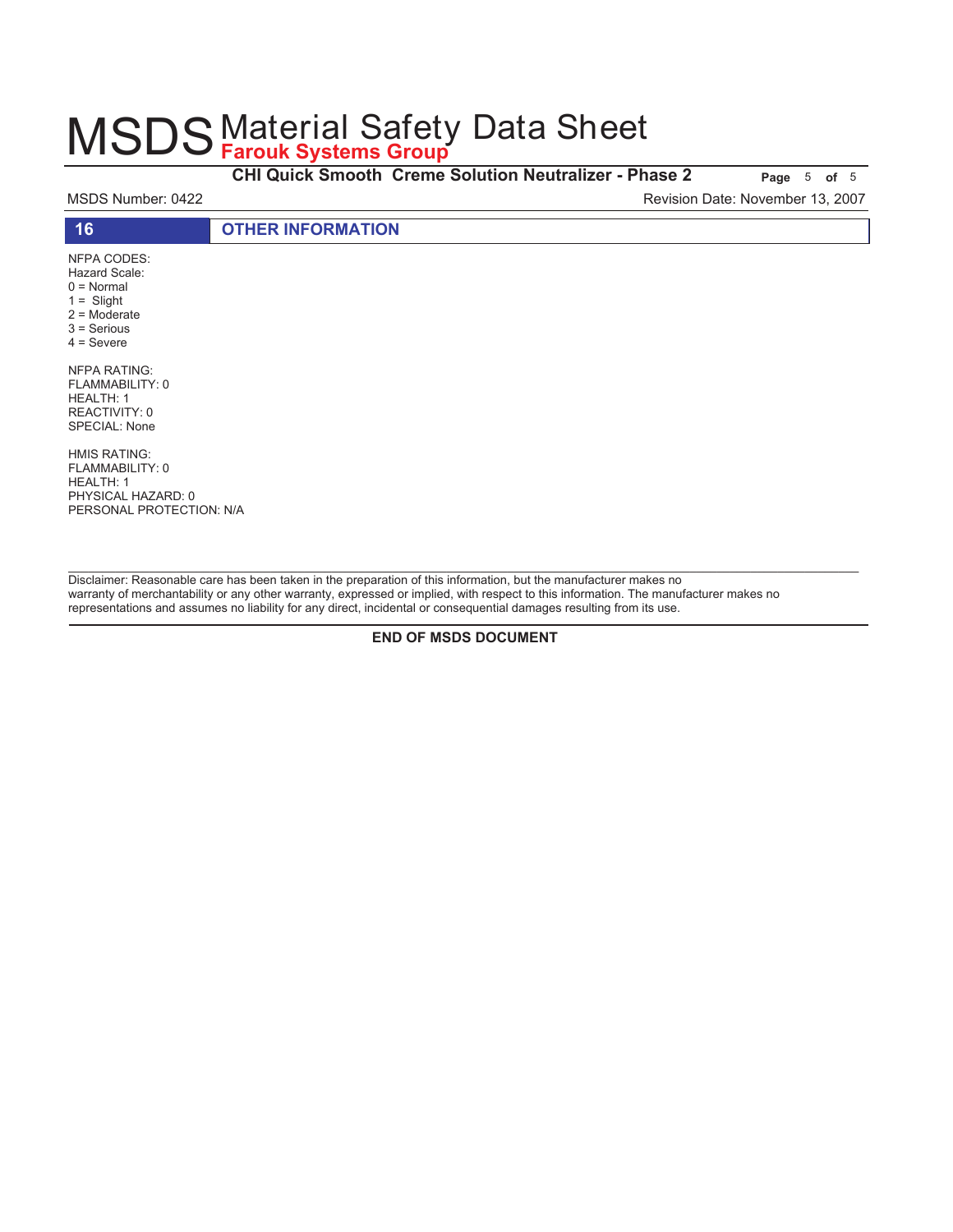**CHI Quick Smooth Creme Solution Neutralizer - Phase 2** Page 5 of 5

MSDS Number: 0422 Revision Date: November 13, 2007

| $\overline{A}$                           | <b>OTHER INFORMATION</b> |  |
|------------------------------------------|--------------------------|--|
| NFPA CODES:<br>$\cdots$<br>$\sim$ $\sim$ |                          |  |

Hazard Scale: 0 = Normal  $1 =$  Slight 2 = Moderate 3 = Serious 4 = Severe

NFPA RATING: FLAMMABILITY: 0 HEALTH: 1 REACTIVITY: 0 SPECIAL: None

HMIS RATING: FLAMMABILITY: 0 HEALTH: 1 PHYSICAL HAZARD: 0 PERSONAL PROTECTION: N/A

Disclaimer: Reasonable care has been taken in the preparation of this information, but the manufacturer makes no warranty of merchantability or any other warranty, expressed or implied, with respect to this information. The manufacturer makes no representations and assumes no liability for any direct, incidental or consequential damages resulting from its use.

**END OF MSDS DOCUMENT**

\_\_\_\_\_\_\_\_\_\_\_\_\_\_\_\_\_\_\_\_\_\_\_\_\_\_\_\_\_\_\_\_\_\_\_\_\_\_\_\_\_\_\_\_\_\_\_\_\_\_\_\_\_\_\_\_\_\_\_\_\_\_\_\_\_\_\_\_\_\_\_\_\_\_\_\_\_\_\_\_\_\_\_\_\_\_\_\_\_\_\_\_\_\_\_\_\_\_\_\_\_\_\_\_\_\_\_\_\_\_\_\_\_\_\_\_\_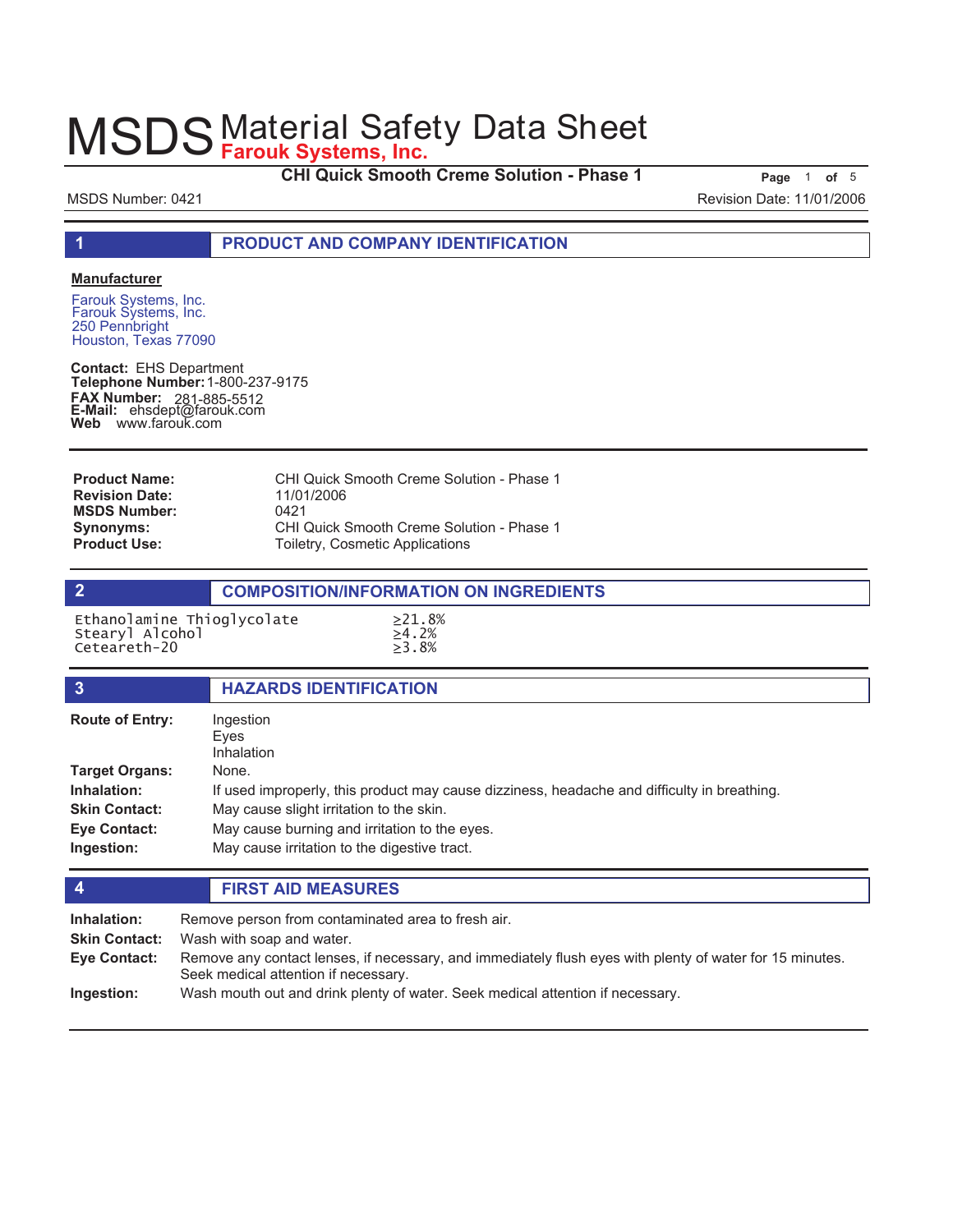**CHI Quick Smooth Creme Solution - Phase 1 Page** 1 of 5

MSDS Number: 0421 Revision Date: 11/01/2006

**1 PRODUCT AND COMPANY IDENTIFICATION**

#### **Manufacturer**

Farouk Systems, Inc. 250 Pennbright Houston, Texas 77090

**Contact:** EHS Department **Telephone Number:** 1-800-237-9175 **FAX Number: FAX Number:** 281-885-5512<br>**E-Mail:** ehsdept@farouk.com **Web** www.farouk.com

| <b>Product Name:</b>  | CHI Quick Smooth Creme Solution - Phase 1 |
|-----------------------|-------------------------------------------|
| <b>Revision Date:</b> | 11/01/2006                                |
| <b>MSDS Number:</b>   | 0421                                      |
| <b>Synonyms:</b>      | CHI Quick Smooth Creme Solution - Phase 1 |
| <b>Product Use:</b>   | Toiletry, Cosmetic Applications           |

#### **2 COMPOSITION/INFORMATION ON INGREDIENTS**

| Ethanolamine Thioglycolate | >21.8%   |
|----------------------------|----------|
| Stearyl Alcohol            | >4.2%    |
| Ceteareth-20               | $>3.8\%$ |

| $\overline{3}$         | <b>HAZARDS IDENTIFICATION</b>                                                               |
|------------------------|---------------------------------------------------------------------------------------------|
| <b>Route of Entry:</b> | Ingestion<br>Eyes<br>Inhalation                                                             |
| <b>Target Organs:</b>  | None.                                                                                       |
| Inhalation:            | If used improperly, this product may cause dizziness, headache and difficulty in breathing. |
| <b>Skin Contact:</b>   | May cause slight irritation to the skin.                                                    |
| <b>Eye Contact:</b>    | May cause burning and irritation to the eyes.                                               |
| Ingestion:             | May cause irritation to the digestive tract.                                                |

#### **4 FIRST AID MEASURES**

| Inhalation:<br><b>Skin Contact:</b> | Remove person from contaminated area to fresh air.<br>Wash with soap and water.                                                                  |
|-------------------------------------|--------------------------------------------------------------------------------------------------------------------------------------------------|
| <b>Eye Contact:</b>                 | Remove any contact lenses, if necessary, and immediately flush eyes with plenty of water for 15 minutes.<br>Seek medical attention if necessary. |
| Ingestion:                          | Wash mouth out and drink plenty of water. Seek medical attention if necessary.                                                                   |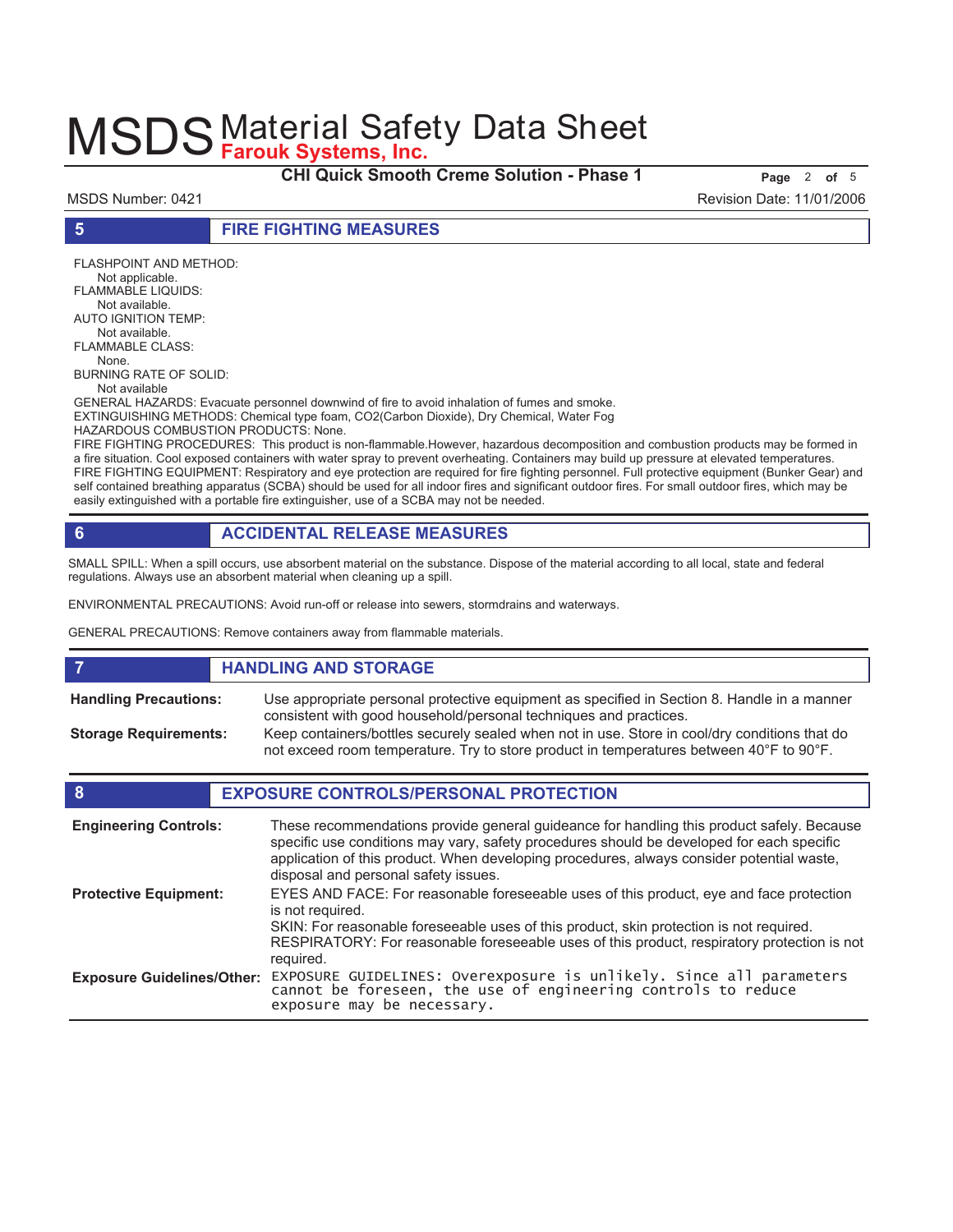**CHI Quick Smooth Creme Solution - Phase 1** Page 2 of 5

MSDS Number: 0421 Revision Date: 11/01/2006

**5 FIRE FIGHTING MEASURES**

FLASHPOINT AND METHOD: Not applicable. FLAMMABLE LIQUIDS: Not available. AUTO IGNITION TEMP: Not available. FLAMMABLE CLASS: None. BURNING RATE OF SOLID: Not available GENERAL HAZARDS: Evacuate personnel downwind of fire to avoid inhalation of fumes and smoke. EXTINGUISHING METHODS: Chemical type foam, CO2(Carbon Dioxide), Dry Chemical, Water Fog HAZARDOUS COMBUSTION PRODUCTS: None.

FIRE FIGHTING PROCEDURES: This product is non-flammable.However, hazardous decomposition and combustion products may be formed in a fire situation. Cool exposed containers with water spray to prevent overheating. Containers may build up pressure at elevated temperatures. FIRE FIGHTING EQUIPMENT: Respiratory and eye protection are required for fire fighting personnel. Full protective equipment (Bunker Gear) and self contained breathing apparatus (SCBA) should be used for all indoor fires and significant outdoor fires. For small outdoor fires, which may be easily extinguished with a portable fire extinguisher, use of a SCBA may not be needed.

# **6 ACCIDENTAL RELEASE MEASURES**

SMALL SPILL: When a spill occurs, use absorbent material on the substance. Dispose of the material according to all local, state and federal regulations. Always use an absorbent material when cleaning up a spill.

ENVIRONMENTAL PRECAUTIONS: Avoid run-off or release into sewers, stormdrains and waterways.

GENERAL PRECAUTIONS: Remove containers away from flammable materials.

|                              | <b>HANDLING AND STORAGE</b>                                                                                                                                                              |
|------------------------------|------------------------------------------------------------------------------------------------------------------------------------------------------------------------------------------|
| <b>Handling Precautions:</b> | Use appropriate personal protective equipment as specified in Section 8. Handle in a manner<br>consistent with good household/personal techniques and practices.                         |
| <b>Storage Requirements:</b> | Keep containers/bottles securely sealed when not in use. Store in cool/dry conditions that do<br>not exceed room temperature. Try to store product in temperatures between 40°F to 90°F. |

### **8 EXPOSURE CONTROLS/PERSONAL PROTECTION**

| <b>Engineering Controls:</b>      | These recommendations provide general guideance for handling this product safely. Because<br>specific use conditions may vary, safety procedures should be developed for each specific<br>application of this product. When developing procedures, always consider potential waste,<br>disposal and personal safety issues. |
|-----------------------------------|-----------------------------------------------------------------------------------------------------------------------------------------------------------------------------------------------------------------------------------------------------------------------------------------------------------------------------|
| <b>Protective Equipment:</b>      | EYES AND FACE: For reasonable foreseeable uses of this product, eye and face protection<br>is not required.<br>SKIN: For reasonable foreseeable uses of this product, skin protection is not required.<br>RESPIRATORY: For reasonable foreseeable uses of this product, respiratory protection is not<br>required.          |
| <b>Exposure Guidelines/Other:</b> | EXPOSURE GUIDELINES: Overexposure is unlikely. Since all parameters cannot be foreseen, the use of engineering controls to reduce<br>exposure may be necessary.                                                                                                                                                             |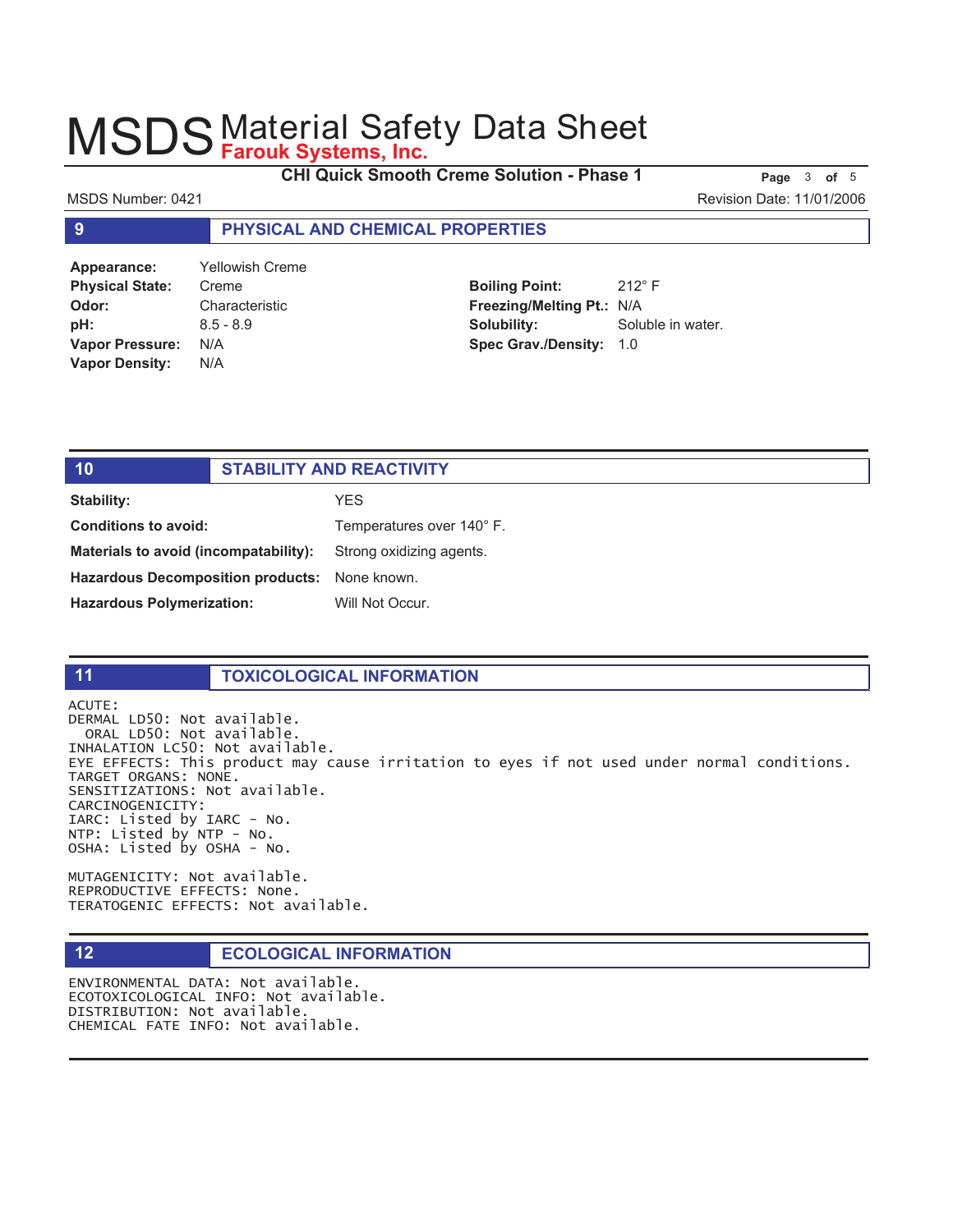Creme

**CHI Quick Smooth Creme Solution - Phase 1 Page 3 of 5** 

#### MSDS Number: 0421 Revision Date: 11/01/2006

### **9 PHYSICAL AND CHEMICAL PROPERTIES**

| Appearance:            | <b>Yellowish Crei</b> |
|------------------------|-----------------------|
| <b>Physical State:</b> | Creme                 |
| Odor:                  | Characteristic        |
| pH:                    | $8.5 - 8.9$           |
| <b>Vapor Pressure:</b> | N/A                   |
| <b>Vapor Density:</b>  | N/A                   |

**Boiling Point:** 212° F **Freezing/Melting Pt.:** N/A **Solubility:** Soluble in water. **Spec Grav./Density:** 1.0

| 10                                            | <b>STABILITY AND REACTIVITY</b> |                           |
|-----------------------------------------------|---------------------------------|---------------------------|
| <b>Stability:</b>                             |                                 | YES.                      |
| Conditions to avoid:                          |                                 | Temperatures over 140° F. |
| Materials to avoid (incompatability):         |                                 | Strong oxidizing agents.  |
| Hazardous Decomposition products: None known. |                                 |                           |
| <b>Hazardous Polymerization:</b>              |                                 | Will Not Occur.           |
|                                               |                                 |                           |

#### **11 TOXICOLOGICAL INFORMATION**

ACUTE: DERMAL LD50: Not available. ORAL LD50: Not available. INHALATION LC50: Not available. EYE EFFECTS: This product may cause irritation to eyes if not used under normal conditions. TARGET ORGANS: NONE. SENSITIZATIONS: Not available. CARCINOGENICITY: IARC: Listed by IARC - No. NTP: Listed by NTP - No. OSHA: Listed by OSHA - No.

MUTAGENICITY: Not available. REPRODUCTIVE EFFECTS: None. TERATOGENIC EFFECTS: Not available.

### **12 <b>ECOLOGICAL INFORMATION**

ENVIRONMENTAL DATA: Not available. ECOTOXICOLOGICAL INFO: Not available. DISTRIBUTION: Not available. CHEMICAL FATE INFO: Not available.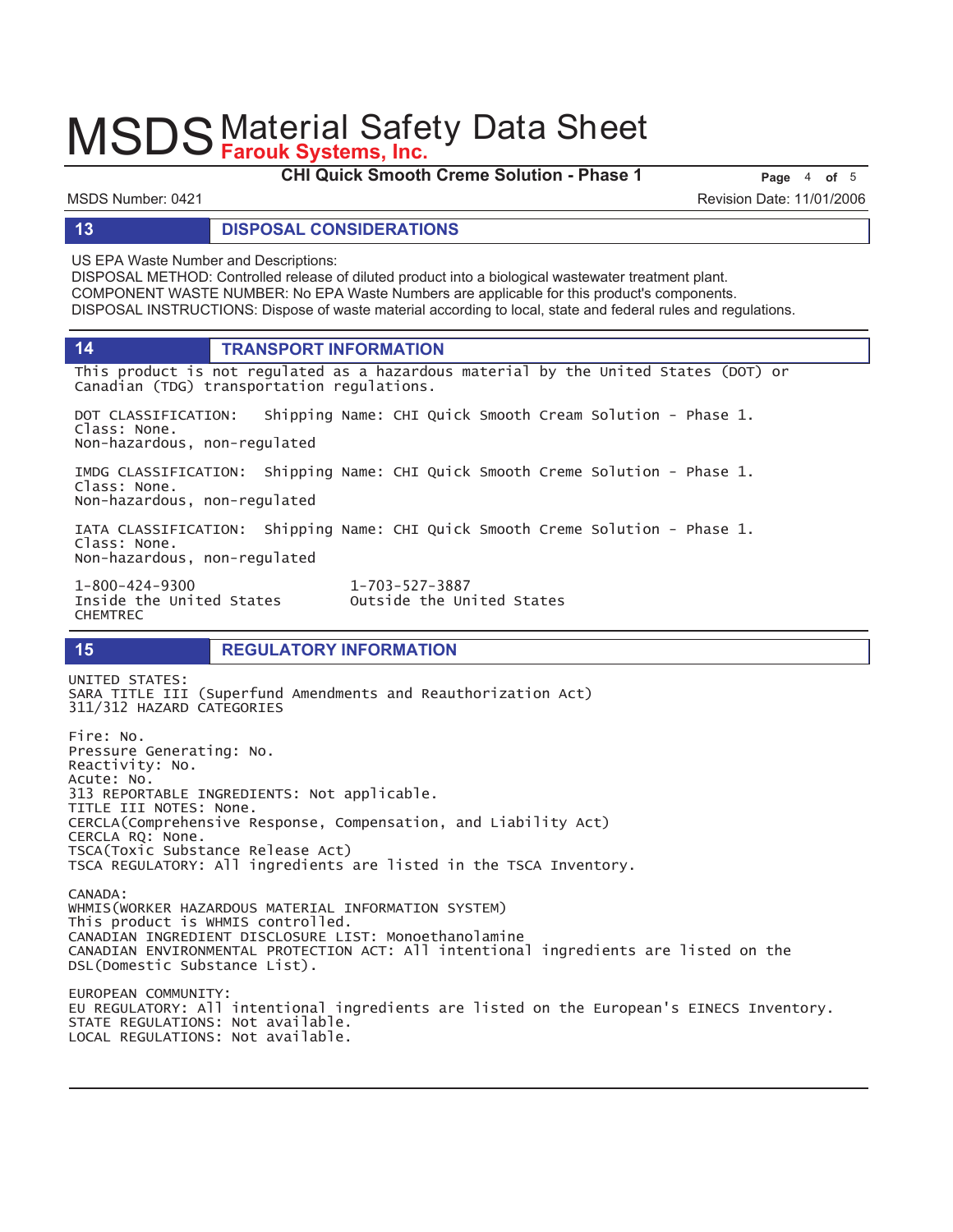**CHI Quick Smooth Creme Solution - Phase 1** Page 4 of 5

MSDS Number: 0421 Revision Date: 11/01/2006

#### **13 DISPOSAL CONSIDERATIONS**

US EPA Waste Number and Descriptions:

DISPOSAL METHOD: Controlled release of diluted product into a biological wastewater treatment plant. COMPONENT WASTE NUMBER: No EPA Waste Numbers are applicable for this product's components. DISPOSAL INSTRUCTIONS: Dispose of waste material according to local, state and federal rules and regulations.

**14 TRANSPORT INFORMATION**

This product is not regulated as a hazardous material by the United States (DOT) or Canadian (TDG) transportation regulations.

DOT CLASSIFICATION: Shipping Name: CHI Quick Smooth Cream Solution - Phase 1. Class: None. Non-hazardous, non-regulated

IMDG CLASSIFICATION: Shipping Name: CHI Quick Smooth Creme Solution - Phase 1. Class: None.

Non-hazardous, non-regulated

LOCAL REGULATIONS: Not available.

IATA CLASSIFICATION: Shipping Name: CHI Quick Smooth Creme Solution - Phase 1. Class: None. Non-hazardous, non-regulated

1-800-424-9300  $1 - 703 - 527 - 3887$ **CHEMTREC** 

Inside the United States outside the United States

# **15 REGULATORY INFORMATION**

UNITED STATES: SARA TITLE III (Superfund Amendments and Reauthorization Act) 311/312 HAZARD CATEGORIES Fire: No. Pressure Generating: No. Reactivity: No. Acute: No. 313 REPORTABLE INGREDIENTS: Not applicable. TITLE III NOTES: None. CERCLA(Comprehensive Response, Compensation, and Liability Act) CERCLA RQ: None. TSCA(Toxic Substance Release Act) TSCA REGULATORY: All ingredients are listed in the TSCA Inventory. CANADA: WHMIS(WORKER HAZARDOUS MATERIAL INFORMATION SYSTEM) This product is WHMIS controlled. CANADIAN INGREDIENT DISCLOSURE LIST: Monoethanolamine CANADIAN ENVIRONMENTAL PROTECTION ACT: All intentional ingredients are listed on the DSL(Domestic Substance List). EUROPEAN COMMUNITY: EU REGULATORY: All intentional ingredients are listed on the European's EINECS Inventory. STATE REGULATIONS: Not available.